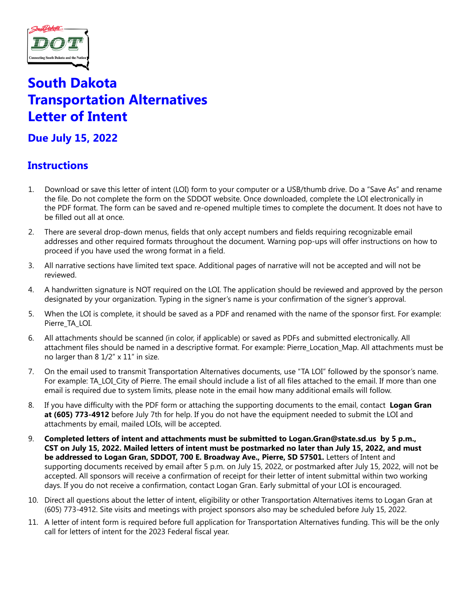

# **South Dakota Transportation Alternatives Letter of Intent**

# **Due July 15, 2022**

# **Instructions**

- 1. Download or save this letter of intent (LOI) form to your computer or a USB/thumb drive. Do a "Save As" and rename the file. Do not complete the form on the SDDOT website. Once downloaded, complete the LOI electronically in the PDF format. The form can be saved and re-opened multiple times to complete the document. It does not have to be filled out all at once.
- 2. There are several drop-down menus, fields that only accept numbers and fields requiring recognizable email addresses and other required formats throughout the document. Warning pop-ups will offer instructions on how to proceed if you have used the wrong format in a field.
- 3. All narrative sections have limited text space. Additional pages of narrative will not be accepted and will not be reviewed.
- 4. A handwritten signature is NOT required on the LOI. The application should be reviewed and approved by the person designated by your organization. Typing in the signer's name is your confirmation of the signer's approval.
- 5. When the LOI is complete, it should be saved as a PDF and renamed with the name of the sponsor first. For example: Pierre\_TA\_LOI.
- 6. All attachments should be scanned (in color, if applicable) or saved as PDFs and submitted electronically. All attachment files should be named in a descriptive format. For example: Pierre Location Map. All attachments must be no larger than 8 1/2" x 11" in size.
- 7. On the email used to transmit Transportation Alternatives documents, use "TA LOI" followed by the sponsor's name. For example: TA\_LOI\_City of Pierre. The email should include a list of all files attached to the email. If more than one email is required due to system limits, please note in the email how many additional emails will follow.
- 8. If you have difficulty with the PDF form or attaching the supporting documents to the email, contact Logan Gran **at (605) 773-4912** before July 7th for help. If you do not have the equipment needed to submit the LOI and attachments by email, mailed LOIs, will be accepted.
- 9. **Completed letters of intent and attachments must be submitted to Logan.Gran@state.sd.us by 5 p.m., CST on July 15, 2022. Mailed letters of intent must be postmarked no later than July 15, 2022, and must be addressed to Logan Gran, SDDOT, 700 E. Broadway Ave., Pierre, SD 57501.** Letters of Intent and supporting documents received by email after 5 p.m. on July 15, 2022, or postmarked after July 15, 2022, will not be accepted. All sponsors will receive a confirmation of receipt for their letter of intent submittal within two working days. If you do not receive a confirmation, contact Logan Gran. Early submittal of your LOI is encouraged.
- 10. Direct all questions about the letter of intent, eligibility or other Transportation Alternatives items to Logan Gran at (605) 773-4912. Site visits and meetings with project sponsors also may be scheduled before July 15, 2022.
- 11. A letter of intent form is required before full application for Transportation Alternatives funding. This will be the only call for letters of intent for the 2023 Federal fiscal year.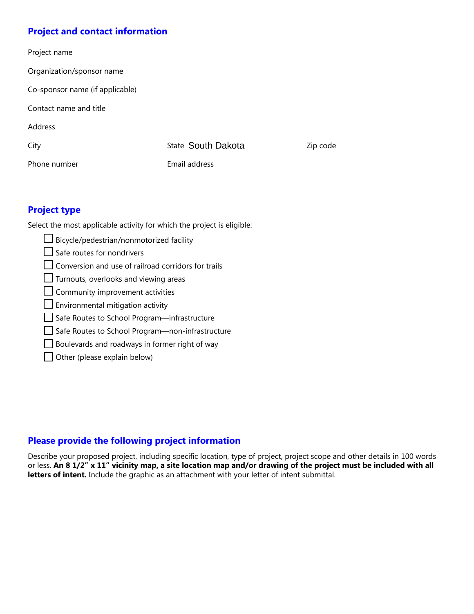## **Project and contact information**

| Project name                    |                           |          |
|---------------------------------|---------------------------|----------|
| Organization/sponsor name       |                           |          |
| Co-sponsor name (if applicable) |                           |          |
| Contact name and title          |                           |          |
| Address                         |                           |          |
| City                            | <b>State South Dakota</b> | Zip code |
| Phone number                    | Email address             |          |
|                                 |                           |          |

## **Project type**

Select the most applicable activity for which the project is eligible:

 Bicycle/pedestrian/nonmotorized facility  $\Box$  Safe routes for nondrivers  $\Box$  Conversion and use of railroad corridors for trails Turnouts, overlooks and viewing areas  $\Box$  Community improvement activities  $\Box$  Environmental mitigation activity Safe Routes to School Program—infrastructure Safe Routes to School Program—non-infrastructure Boulevards and roadways in former right of way  $\Box$  Other (please explain below)

# **Please provide the following project information**

Describe your proposed project, including specific location, type of project, project scope and other details in 100 words or less. **An 8 1/2" x 11" vicinity map, a site location map and/or drawing of the project must be included with all letters of intent.** Include the graphic as an attachment with your letter of intent submittal.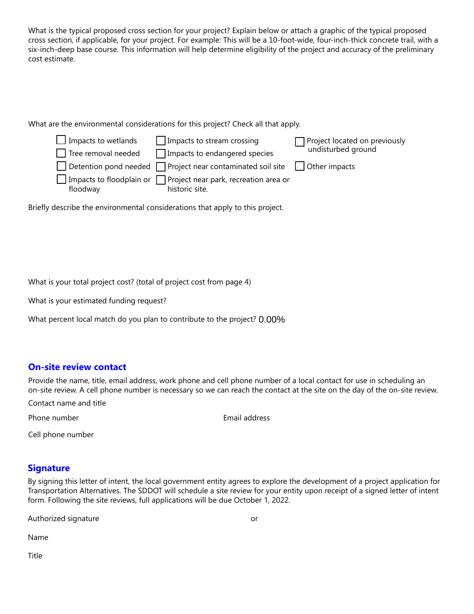What is the typical proposed cross section for your project? Explain below or attach a graphic of the typical proposed cross section, if applicable, for your project. For example: This will be a 10-foot-wide, four-inch-thick concrete trail, with a six-inch-deep base course. This information will help determine eligibility of the project and accuracy of the preliminary cost estimate.

What are the environmental considerations for this project? Check all that apply.



Briefly describe the environmental considerations that apply to this project.

What is your total project cost? (total of project cost from page 4)

What is your estimated funding request?

What percent local match do you plan to contribute to the project? 0.00%

#### **On-site review contact**

Provide the name, title, email address, work phone and cell phone number of a local contact for use in scheduling an on-site review. A cell phone number is necessary so we can reach the contact at the site on the day of the on-site review.

Contact name and title

Phone number **and a contract the Contract Contract Contract Contract Contract Contract Contract Contract Contract Contract Contract Contract Contract Contract Contract Contract Contract Contract Contract Contract Contract** 

Cell phone number

#### **Signature**

By signing this letter of intent, the local government entity agrees to explore the development of a project application for Transportation Alternatives. The SDDOT will schedule a site review for your entity upon receipt of a signed letter of intent form. Following the site reviews, full applications will be due October 1, 2022.

Authorized signature **and a set of the set of the set of the set of the set of the set of the set of the set of the set of the set of the set of the set of the set of the set of the set of the set of the set of the set of** 

Name

Title